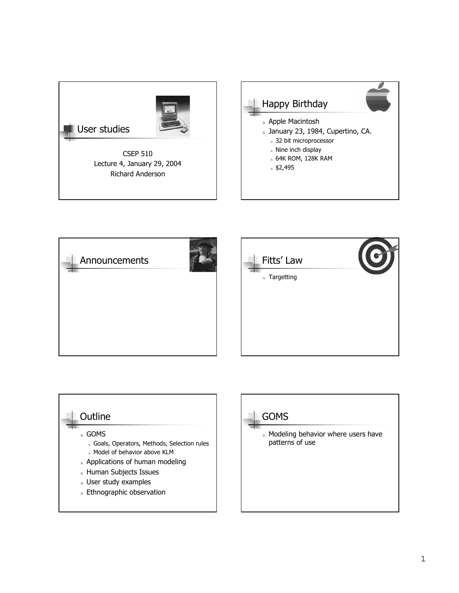



### **Outline**

<sup>n</sup> GOMS

- n Goals, Operators, Methods, Selection rules
- n Model of behavior above KLM
- n Applications of human modeling
- n Human Subjects Issues
- n User study examples
- n Ethnographic observation

## GOMS

n Modeling behavior where users have patterns of use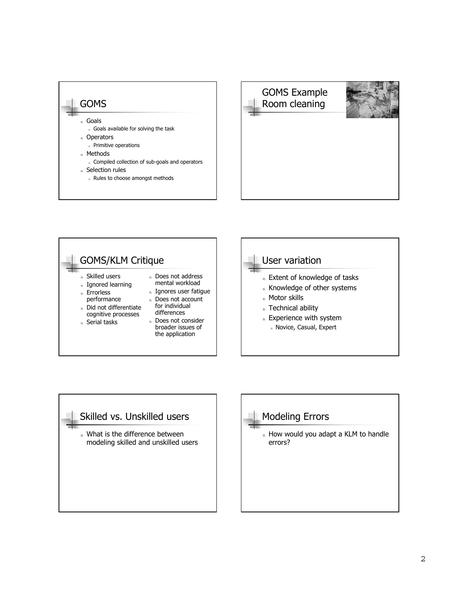







## Modeling Errors

n How would you adapt a KLM to handle errors?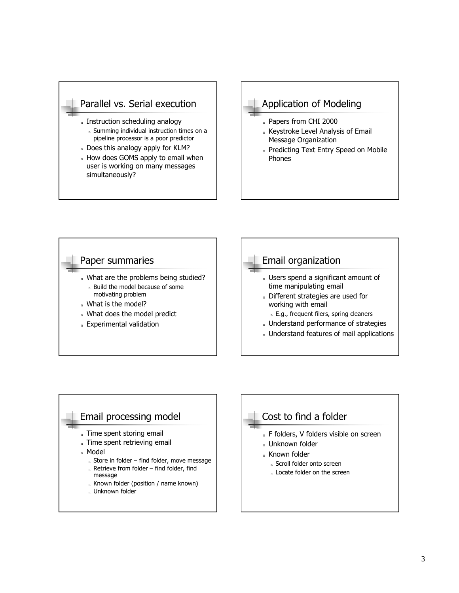

- n Does this analogy apply for KLM?
- n How does GOMS apply to email when user is working on many messages simultaneously?

### Application of Modeling

- n Papers from CHI 2000
- n Keystroke Level Analysis of Email Message Organization
- n Predicting Text Entry Speed on Mobile Phones





- n Time spent storing email
- n Time spent retrieving email
- <sup>n</sup> Model
	- $n$  Store in folder find folder, move message
	- $n$  Retrieve from folder find folder, find message
	- n Known folder (position / name known)
	- n Unknown folder

## Cost to find a folder

- n F folders, V folders visible on screen
- n Unknown folder
- <sub>n</sub> Known folder
	- <sup>n</sup> Scroll folder onto screen
	- n Locate folder on the screen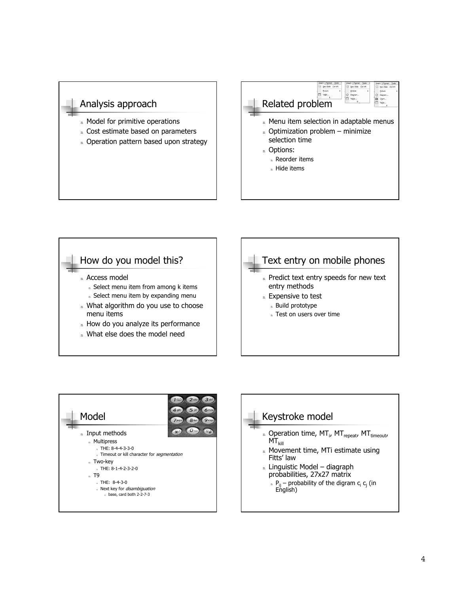#### Analysis approach

- n Model for primitive operations
- n Cost estimate based on parameters
- n Operation pattern based upon strategy

## Related problem n Menu item selection in adaptable menus  $n$  Optimization problem – minimize selection time n Options: <sup>n</sup> Reorder items n Hide items





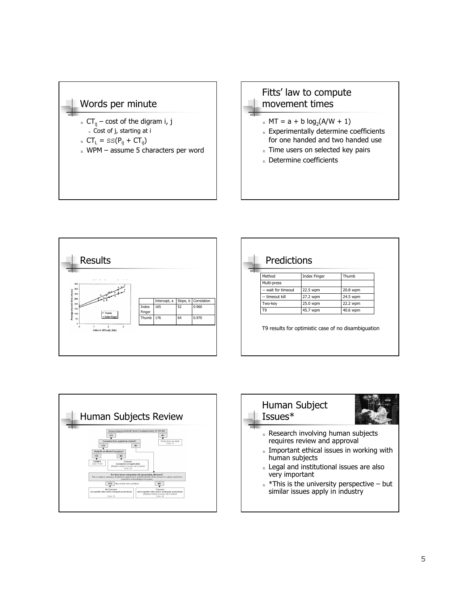





| Predictions         |                     |          |
|---------------------|---------------------|----------|
| Method              | <b>Index Finger</b> | Thumb    |
| Multi-press         |                     |          |
| -- wait for timeout | 22.5 wpm            | 20.8 wpm |
| -- timeout kill     | 27.2 wpm            | 24.5 wpm |
| Two-key             | 25.0 wpm            | 22.2 wpm |
| T <sub>9</sub>      | 45.7 wpm            | 40.6 wpm |



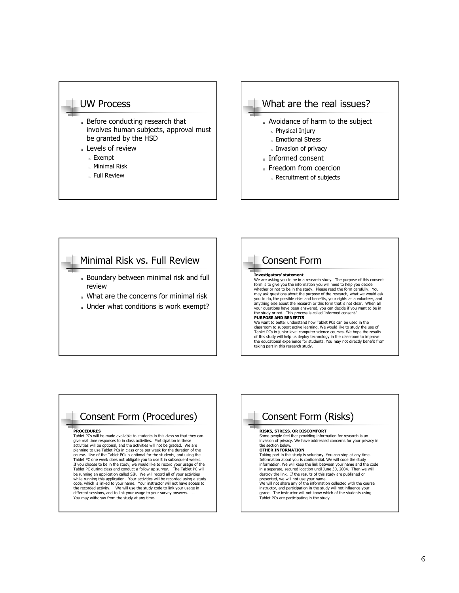#### UW Process

- n Before conducting research that involves human subjects, approval must be granted by the HSD
- n Levels of review
	- <sup>n</sup> Exempt
	- <sup>n</sup> Minimal Risk
	- <sup>n</sup> Full Review



- n Freedom from coercion
	- n Recruitment of subjects

## Minimal Risk vs. Full Review

- n Boundary between minimal risk and full review
- n What are the concerns for minimal risk
- n Under what conditions is work exempt?

#### Consent Form **Investigators' statement** We are asking you to be in a research study. The purpose of this consent form is to give you the information you will need to help you decide whether or not to be in the study. Please read the form carefully. You may ask questions about the purpose of the research, what we would ask<br>you to do, the possible risks and benefits, your rights as a volunteer, and<br>anything else about the research or this form that is not clear. When all your questions have been answered, you can decide if you want to be in the study or not. This process is called 'informed consent. **PURPOSE AND BENEFITS** We want to better understand how Tablet PCs can be used in the classroom to support active learning. We would like to study the use of Tablet PCs in junior level computer science courses. We hope the results of this study will help us deploy technology in the classroom to improve the educational experience for students. You may not directly benefit from taking part in this research study.

## Consent Form (Procedures)

#### **PROCEDURES**

Tablet PCs will be made available to students in this class so that they can give real time responses to in class activities. Participation in these activities will be optional, and the activities will not be graded. We are planning to use Tablet PCs in class once per week for the duration of the course. Use of the Tablet PCs is optional for the students, and using the Tablet PC one week does not obligate you to use it in subsequent weeks.<br>If you choose to be in the study, we would like to record your usage of the<br>Tablet PC during class and conduct a follow up survey. The Tablet PC wil be running an application called SIP. We will record all of your activities while running this application. Your activities will be recorded using a study code, which is linked to your name. Your instructor will not have access to the recorded activity. We will use the study code to link your usage in different sessions, and to link your usage to your survey answers. ...<br>You may withdraw from the study at any time.

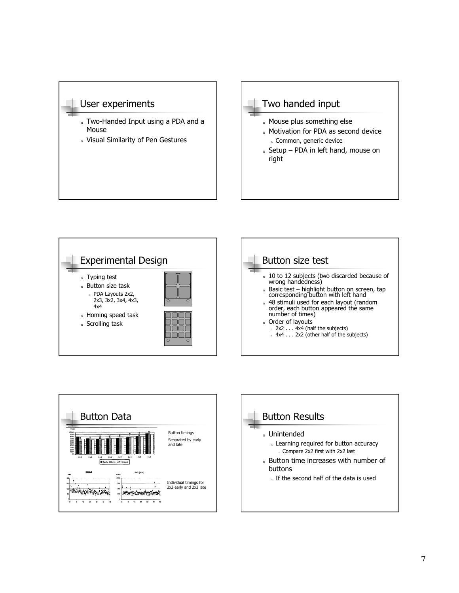





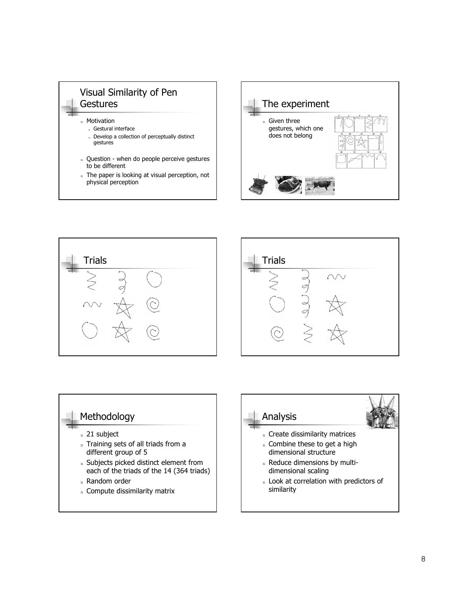







## Methodology

- <sup>n</sup> 21 subject
- n Training sets of all triads from a different group of 5
- n Subjects picked distinct element from each of the triads of the 14 (364 triads)
- <sup>n</sup> Random order
- n Compute dissimilarity matrix

# Analysis n Create dissimilarity matrices

- n Combine these to get a high dimensional structure
- n Reduce dimensions by multidimensional scaling
- n Look at correlation with predictors of similarity